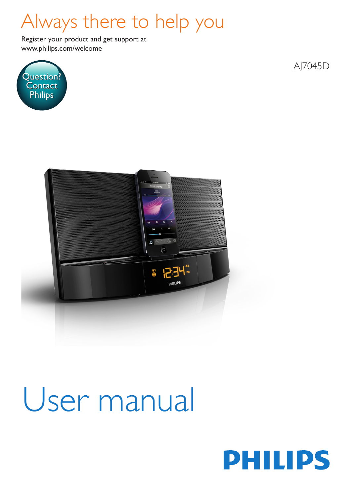## Always there to help you

www.philips.com/welcome Register your product and get support at



AJ7045D



# User manual

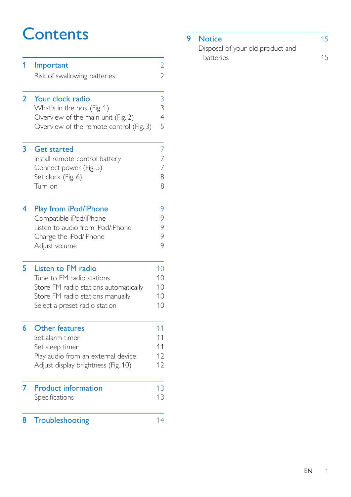## **Contents**

| 1              | Important<br>Risk of swallowing batteries                                     | $\overline{2}$<br>$\overline{2}$ |
|----------------|-------------------------------------------------------------------------------|----------------------------------|
|                |                                                                               |                                  |
| $\overline{2}$ | Your clock radio                                                              | $\frac{3}{3}$                    |
|                | What's in the box (Fig. 1)                                                    | $\overline{4}$                   |
|                | Overview of the main unit (Fig. 2)<br>Overview of the remote control (Fig. 3) | 5                                |
| 3              | <b>Get started</b>                                                            | 7                                |
|                | Install remote control battery                                                | 7<br>$\overline{7}$              |
|                | Connect power (Fig. 5)<br>Set clock (Fig. 6)                                  | 8                                |
|                | Turn on                                                                       | 8                                |
| 4              | Play from iPod/iPhone                                                         | 9                                |
|                | Compatible iPod/iPhone<br>Listen to audio from iPod/iPhone                    | 9<br>9                           |
|                | Charge the iPod/iPhone                                                        | 9                                |
|                | Adjust volume                                                                 | 9                                |
| 5              | <b>Listen to FM radio</b>                                                     | 10                               |
|                | Tune to FM radio stations                                                     | 10                               |
|                | Store FM radio stations automatically<br>Store FM radio stations manually     | 10<br>10                         |
|                | Select a preset radio station                                                 | 10                               |
| 6              | <b>Other features</b>                                                         | 11                               |
|                | Set alarm timer                                                               | 11                               |
|                | Set sleep timer<br>Play audio from an external device                         | 11<br>12                         |
|                | Adjust display brightness (Fig. 10)                                           | 12                               |
| 7              | <b>Product information</b>                                                    | 13                               |
|                | Specifications                                                                | 13                               |
| 8              | Troubleshooting                                                               | 14                               |

### **9 [Notice](#page-16-0)** 15

| Disposal of your old product and |    |
|----------------------------------|----|
| <b>batteries</b>                 | 15 |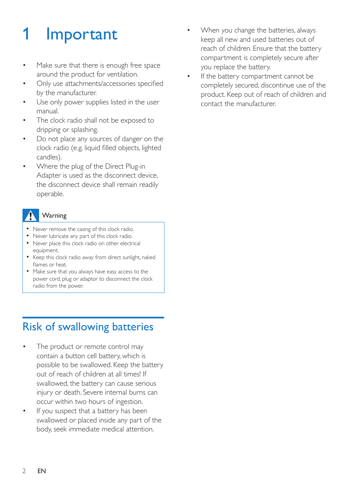## <span id="page-3-0"></span>**Important**

- Make sure that there is enough free space around the product for ventilation.
- Only use attachments/accessories specified by the manufacturer.
- Use only power supplies listed in the user manual.
- The clock radio shall not be exposed to dripping or splashing.
- Do not place any sources of danger on the clock radio (e.g. liquid filled objects, lighted candles).
- Where the plug of the Direct Plug-in Adapter is used as the disconnect device, the disconnect device shall remain readily operable.

### **Warning**

- Never remove the casing of this clock radio.
- Never lubricate any part of this clock radio.
- Never place this clock radio on other electrical equipment.
- Keep this clock radio away from direct sunlight, naked flames or heat.
- Make sure that you always have easy access to the power cord, plug or adaptor to disconnect the clock radio from the power.

## <span id="page-3-1"></span>Risk of swallowing batteries

- The product or remote control may contain a button cell battery, which is possible to be swallowed. Keep the battery out of reach of children at all times! If swallowed, the battery can cause serious injury or death. Severe internal burns can occur within two hours of ingestion.
- If you suspect that a battery has been swallowed or placed inside any part of the body, seek immediate medical attention.
- When you change the batteries, always keep all new and used batteries out of reach of children. Ensure that the battery compartment is completely secure after you replace the battery.
- If the battery compartment cannot be completely secured, discontinue use of the product. Keep out of reach of children and contact the manufacturer.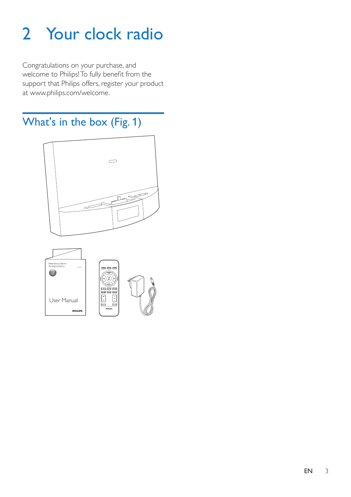## <span id="page-4-0"></span>2 Your clock radio

Congratulations on your purchase, and welcome to Philips! To fully benefit from the support that Philips offers, register your product at www.philips.com/welcome.

<span id="page-4-1"></span>What's in the box (Fig. 1)



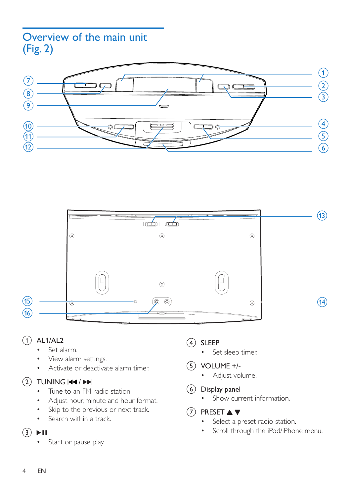## <span id="page-5-0"></span>Overview of the main unit (Fig. 2)





#### $(1)$  AL1/AL2

- Set alarm.
- View alarm settings.
- • Activate or deactivate alarm timer.

#### $(2)$  TUNING  $\overline{44}$  /  $\rightarrow$

- Tune to an FM radio station.
- Adjust hour, minute and hour format.
- Skip to the previous or next track.
- Search within a track.

### $\textcircled{3}$   $\blacktriangleright$  II

• Start or pause play.

- (4) SLEEP
	- • Set sleep timer.
- $(5)$  VOLUME +/-
	- Adjust volume.
- (6) Display panel
	- Show current information
- $(7)$  PRESET  $\triangle$   $\blacktriangledown$ 
	- • Select a preset radio station.
	- • Scroll through the iPod/iPhone menu.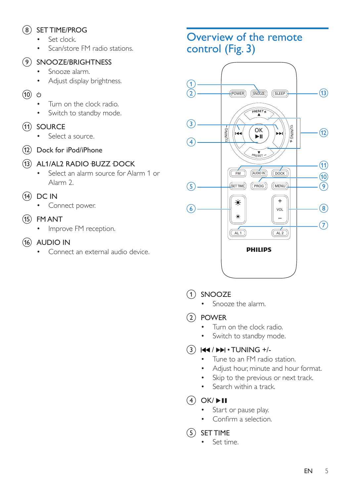### h SET TIME/PROG

- Set clock.
- Scan/store FM radio stations.

#### **9) SNOOZE/BRIGHTNESS**

- Snooze alarm
- Adjust display brightness.
- $\circledcirc$ 
	- Turn on the clock radio.
	- Switch to standby mode.
- (11) SOURCE
	- Select a source.
- (12) Dock for iPod/iPhone

#### (13) AL1/AL2 RADIO BUZZ DOCK

- • Select an alarm source for Alarm 1 or Alarm 2.
- $(14)$  DC IN
	- Connect power.
- $(15)$  FM ANT
	- Improve FM reception.
- $(16)$  AUDIO IN
	- Connect an external audio device.

## <span id="page-6-0"></span>Overview of the remote control (Fig. 3)



### (1) SNOOZE

- • Snooze the alarm.
- $(2)$  POWER
	- Turn on the clock radio.
	- Switch to standby mode.

### $\Omega$   $\mathbf{H}$   $\mathbf{H}$   $\mathbf{H}$   $\mathbf{H}$   $\mathbf{H}$   $\mathbf{H}$   $\mathbf{H}$   $\mathbf{H}$   $\mathbf{H}$   $\mathbf{H}$   $\mathbf{H}$   $\mathbf{H}$   $\mathbf{H}$   $\mathbf{H}$   $\mathbf{H}$   $\mathbf{H}$   $\mathbf{H}$   $\mathbf{H}$   $\mathbf{H}$   $\mathbf{H}$   $\mathbf{H}$   $\mathbf{H}$   $\mathbf{H}$   $\mathbf{H}$

- Tune to an FM radio station.
- • Adjust hour, minute and hour format.
- • Skip to the previous or next track.
- Search within a track.
- $\overline{(4)}$  OK/ $\blacktriangleright$ II
	- Start or pause play.
	- Confirm a selection.
- $(5)$  SET TIME
	- Set time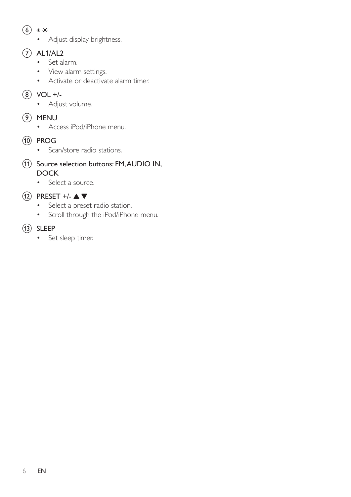- $6*$ 
	- • Adjust display brightness.

#### $(7)$  AL1/AL2

- • Set alarm.
- • View alarm settings.
- • Activate or deactivate alarm timer.

 $(8)$  VOL +/-

- Adjust volume.
- $(9)$  MENU
	- • Access iPod/iPhone menu.
- j PROG
	- Scan/store radio stations.
- (11) Source selection buttons: FM, AUDIO IN, **DOCK** 
	- • Select a source.
- $\Omega$  PRESET +/- $\blacktriangle \blacktriangledown$ 
	- • Select a preset radio station.
	- • Scroll through the iPod/iPhone menu.

### $(13)$  SLEEP

• Set sleep timer.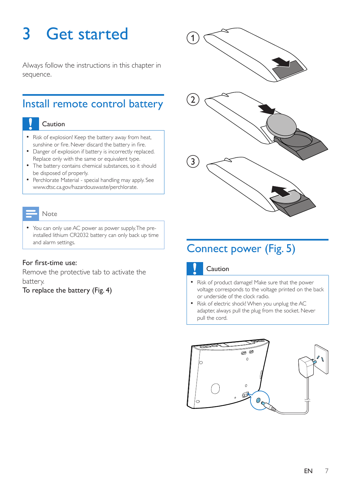## <span id="page-8-0"></span>3 Get started

Always follow the instructions in this chapter in sequence.

## <span id="page-8-1"></span>Install remote control battery

#### Caution

- Risk of explosion! Keep the battery away from heat, sunshine or fire. Never discard the battery in fire.
- Danger of explosion if battery is incorrectly replaced. Replace only with the same or equivalent type.
- The battery contains chemical substances, so it should be disposed of properly.
- Perchlorate Material special handling may apply. See www.dtsc.ca.gov/hazardouswaste/perchlorate.

#### Note

• You can only use AC power as power supply. The preinstalled lithium CR2032 battery can only back up time and alarm settings.

#### For first-time use:

Remove the protective tab to activate the battery.

To replace the battery (Fig. 4)



## <span id="page-8-2"></span>Connect power (Fig. 5)



- Risk of product damage! Make sure that the power voltage corresponds to the voltage printed on the back or underside of the clock radio.
- Risk of electric shock! When you unplug the AC adapter, always pull the plug from the socket. Never pull the cord.

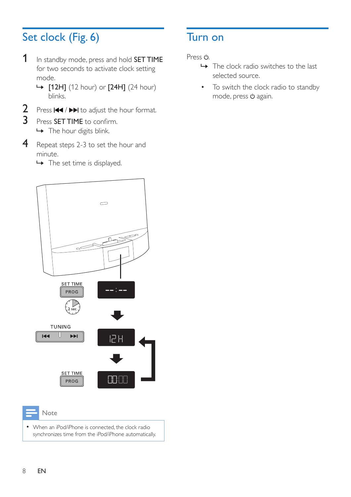## <span id="page-9-0"></span>Set clock (Fig. 6)

- 1 In standby mode, press and hold **SET TIME** for two seconds to activate clock setting mode.
	- » [12H] (12 hour) or [24H] (24 hour) blinks.
- **2** Press  $\blacktriangleleft$  /  $\blacktriangleright$  to adjust the hour format.
- 3 Press SET TIME to confirm. » The hour digits blink.
- 4 Repeat steps 2-3 to set the hour and minute.
	- → The set time is displayed.

## <span id="page-9-1"></span>Turn on

Press (b)

- $\rightarrow$  The clock radio switches to the last selected source.
- • To switch the clock radio to standby mode, press  $\Phi$  again.



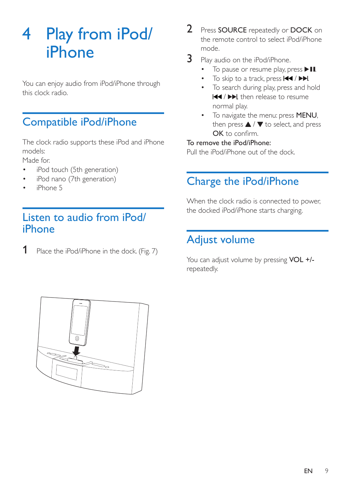## <span id="page-10-0"></span>4 Play from iPod/ iPhone

You can enjoy audio from iPod/iPhone through this clock radio.

## <span id="page-10-1"></span>Compatible iPod/iPhone

The clock radio supports these iPod and iPhone models:

Made for.

- iPod touch (5th generation)
- iPod nano (7th generation)
- iPhone 5

## <span id="page-10-2"></span>Listen to audio from iPod/ iPhone

1 Place the iPod/iPhone in the dock. (Fig. 7)

- 2 Press SOURCE repeatedly or DOCK on the remote control to select iPod/iPhone mode.
- **3** Play audio on the iPod/iPhone.
	- To pause or resume play, press  $\blacktriangleright$  II.
	- • To skip to a track, press / .
	- • To search during play, press and hold  $|\blacktriangleleft|$  , then release to resume normal play.
	- To navigate the menu: press MENU, then press  $\triangle$  /  $\nabla$  to select, and press OK to confirm.

#### To remove the iPod/iPhone:

Pull the iPod/iPhone out of the dock.

## <span id="page-10-3"></span>Charge the iPod/iPhone

When the clock radio is connected to power, the docked iPod/iPhone starts charging.

## <span id="page-10-4"></span>Adjust volume

You can adjust volume by pressing VOL +/repeatedly.

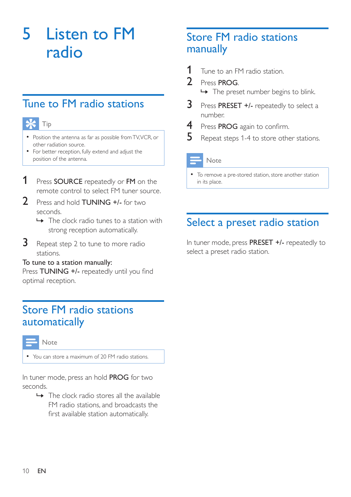## <span id="page-11-0"></span>5 Listen to FM radio

## <span id="page-11-1"></span>Tune to FM radio stations

## Tip

- Position the antenna as far as possible fromTV,VCR, or other radiation source.
- For better reception, fully extend and adjust the position of the antenna.
- 1 Press SOURCE repeatedly or FM on the remote control to select FM tuner source.
- 2 Press and hold **TUNING +/-** for two seconds.
	- $\rightarrow$  The clock radio tunes to a station with strong reception automatically.
- **3** Repeat step 2 to tune to more radio stations.

#### To tune to a station manually:

Press TUNING +/- repeatedly until you find optimal reception.

## <span id="page-11-2"></span>Store FM radio stations automatically



• You can store a maximum of 20 FM radio stations.

In tuner mode, press an hold PROG for two seconds.

 $\rightarrow$  The clock radio stores all the available FM radio stations, and broadcasts the first available station automatically.

## <span id="page-11-3"></span>Store FM radio stations manually

- 1 Tune to an FM radio station.<br>2 Press **PROG**
- Press PROG.
	- $\rightarrow$  The preset number begins to blink.
- **3** Press PRESET +/- repeatedly to select a number.
- 4 Press PROG again to confirm.
- **5** Repeat steps 1-4 to store other stations.

#### Note

To remove a pre-stored station, store another station in its place.

## <span id="page-11-4"></span>Select a preset radio station

In tuner mode, press PRESET +/- repeatedly to select a preset radio station.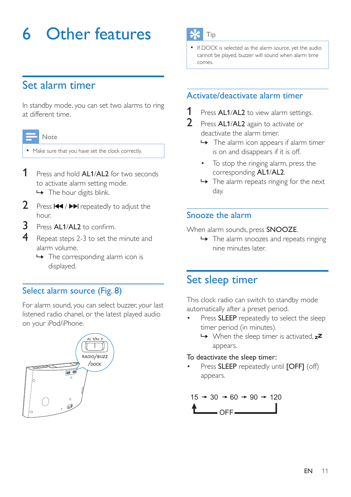## <span id="page-12-0"></span>6 Other features

## <span id="page-12-1"></span>Set alarm timer

In standby mode, you can set two alarms to ring at different time.

#### Note

• Make sure that you have set the clock correctly.

- **1** Press and hold **AL1/AL2** for two seconds to activate alarm setting mode.  $\rightarrow$  The hour digits blink.
- **2** Press  $\left| \right|$  **>** repeatedly to adjust the hour.
- 3 Press AL1/AL2 to confirm.
- Repeat steps 2-3 to set the minute and alarm volume.
	- $\rightarrow$  The corresponding alarm icon is displayed.

### Select alarm source (Fig. 8)

For alarm sound, you can select buzzer, your last listened radio chanel, or the latest played audio on your iPod/iPhone.



## Tip

If DOCK is selected as the alarm source, yet the audio cannot be played, buzzer will sound when alarm time comes.

### Activate/deactivate alarm timer

- 1 Press AL1/AL2 to view alarm settings.<br>2 Press AL1/AL2 again to activate or
- Press AL1/AL2 again to activate or deactivate the alarm timer.
	- » The alarm icon appears if alarm timer is on and disappears if it is off.
	- To stop the ringing alarm, press the corresponding AL1/AL2.
	- $\rightarrow$  The alarm repeats ringing for the next day.

### Snooze the alarm

When alarm sounds, press **SNOOZE**.

 $\rightarrow$  The alarm snoozes and repeats ringing nine minutes later.

## <span id="page-12-2"></span>Set sleep timer

This clock radio can switch to standby mode automatically after a preset period.

- Press SLEEP repeatedly to select the sleep timer period (in minutes).
	- $\rightarrow$  When the sleep timer is activated.  $z^2$ appears.

#### To deactivate the sleep timer:

Press **SLEEP** repeatedly until **[OFF]** (off) appears.

$$
15 \to 30 \to 60 \to 90 \to 120
$$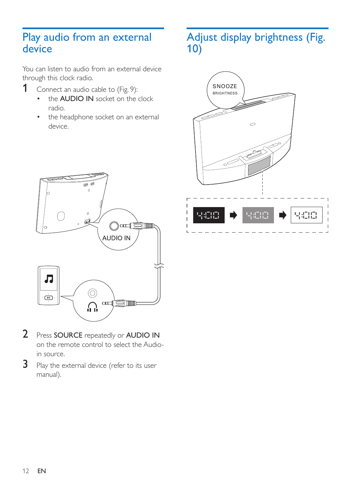## <span id="page-13-0"></span>Play audio from an external device

You can listen to audio from an external device through this clock radio.

- 1 Connect an audio cable to  $(Fig. 9)$ :<br>  $\qquad \qquad \bullet \qquad \bullet$  ALIDIO IN socket on the
	- the **AUDIO IN** socket on the clock radio.
	- the headphone socket on an external device.

## <span id="page-13-1"></span>Adjust display brightness (Fig. 10)





- 2 Press SOURCE repeatedly or AUDIO IN on the remote control to select the Audioin source.
- 3 Play the external device (refer to its user manual).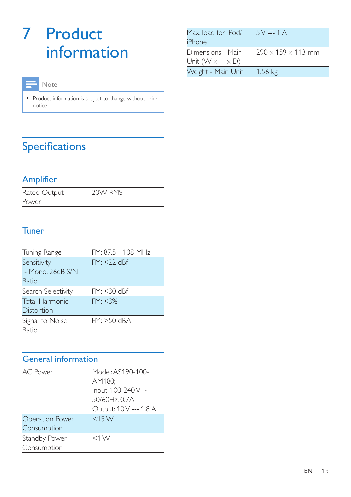## <span id="page-14-0"></span>7 Product information

### Note

• Product information is subject to change without prior notice.

## <span id="page-14-1"></span>Specifications

### **Amplifier**

Rated Output Power

20W RMS

### **Tuner**

| Tuning Range          | FM: 87.5 - 108 MHz |  |  |  |
|-----------------------|--------------------|--|--|--|
| Sensitivity           | $FM: < 22$ dBf     |  |  |  |
| - Mono, 26dB S/N      |                    |  |  |  |
| Ratio                 |                    |  |  |  |
| Search Selectivity    | $FM: < 30$ dBf     |  |  |  |
| <b>Total Harmonic</b> | FM: < 3%           |  |  |  |
| Distortion            |                    |  |  |  |
| Signal to Noise       | $FM: >50$ dBA      |  |  |  |
| Ratio                 |                    |  |  |  |

## General information

| <b>AC</b> Power<br><b>Operation Power</b> | Model: AS190-100-<br>AM180:<br>Input: 100-240 V ~,<br>50/60Hz, 0.7A;<br>Output: 10 V = 1.8 A<br>$<$ 15 W |
|-------------------------------------------|----------------------------------------------------------------------------------------------------------|
| Consumption                               |                                                                                                          |
| Standby Power                             | $<$ 1 W                                                                                                  |
| Consumption                               |                                                                                                          |

| Max. load for iPod/          | $5V = 1A$                      |
|------------------------------|--------------------------------|
| iPhone                       |                                |
| Dimensions - Main            | $290 \times 159 \times 113$ mm |
| Unit $(W \times H \times D)$ |                                |
| Weight - Main Unit           | $1.56$ kg                      |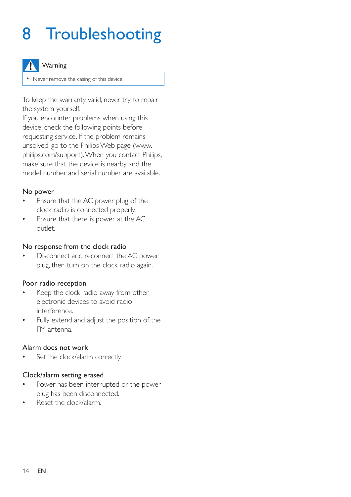## <span id="page-15-0"></span>8 Troubleshooting

#### Warning

• Never remove the casing of this device.

To keep the warranty valid, never try to repair the system yourself.

If you encounter problems when using this device, check the following points before requesting service. If the problem remains unsolved, go to the Philips Web page (www. philips.com/support). When you contact Philips, make sure that the device is nearby and the model number and serial number are available.

#### No power

- Ensure that the AC power plug of the clock radio is connected properly.
- Ensure that there is power at the AC outlet.

#### No response from the clock radio

• Disconnect and reconnect the AC power plug, then turn on the clock radio again.

#### Poor radio reception

- Keep the clock radio away from other electronic devices to avoid radio interference.
- Fully extend and adjust the position of the FM antenna.

#### Alarm does not work

Set the clock/alarm correctly.

#### Clock/alarm setting erased

- Power has been interrupted or the power plug has been disconnected.
- Reset the clock/alarm.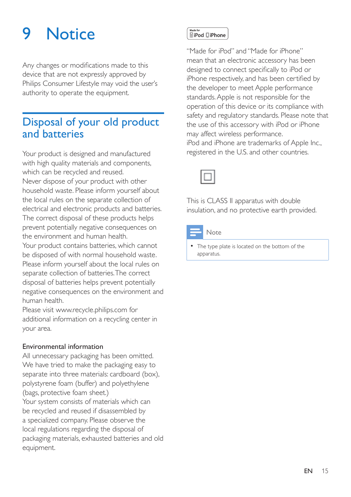## <span id="page-16-0"></span>9 Notice

Any changes or modifications made to this device that are not expressly approved by Philips Consumer Lifestyle may void the user's authority to operate the equipment.

## <span id="page-16-1"></span>Disposal of your old product and batteries

Your product is designed and manufactured with high quality materials and components, which can be recycled and reused. Never dispose of your product with other household waste. Please inform yourself about the local rules on the separate collection of electrical and electronic products and batteries. The correct disposal of these products helps prevent potentially negative consequences on the environment and human health. Your product contains batteries, which cannot be disposed of with normal household waste. Please inform yourself about the local rules on separate collection of batteries. The correct

disposal of batteries helps prevent potentially negative consequences on the environment and human health.

Please visit [www.recycle.philips.com](http://www.recycle.philips.com) for additional information on a recycling center in your area.

#### Environmental information

All unnecessary packaging has been omitted. We have tried to make the packaging easy to separate into three materials: cardboard (box), polystyrene foam (buffer) and polyethylene (bags, protective foam sheet.) Your system consists of materials which can be recycled and reused if disassembled by a specialized company. Please observe the local regulations regarding the disposal of packaging materials, exhausted batteries and old equipment.

### Made for<br>**RiPod DiPhone**

"Made for iPod" and "Made for iPhone" mean that an electronic accessory has been designed to connect specifically to iPod or iPhone respectively, and has been certified by the developer to meet Apple performance standards. Apple is not responsible for the operation of this device or its compliance with safety and regulatory standards. Please note that the use of this accessory with iPod or iPhone may affect wireless performance. iPod and iPhone are trademarks of Apple Inc.,

registered in the U.S. and other countries.



This is CLASS II apparatus with double insulation, and no protective earth provided.

#### Note

The type plate is located on the bottom of the apparatus.